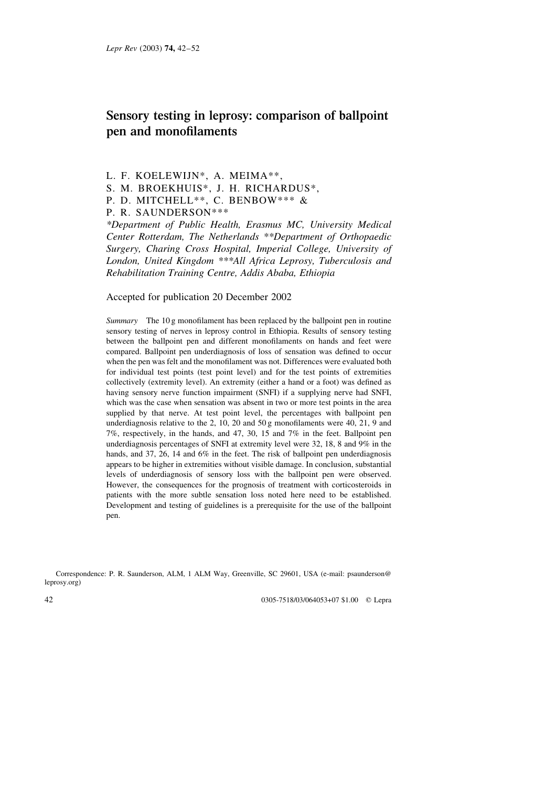# Sensory testing in leprosy: comparison of ballpoint pen and monofilaments

L. F. KOELEWIJN\*, A. MEIMA\*\*,

- S. M. BROEKHUIS\*, J. H. RICHARDUS\*,
- P. D. MITCHELL\*\*, C. BENBOW\*\*\* &

P. R. SAUNDERSON\*\*\*

\*Department of Public Health, Erasmus MC, University Medical Center Rotterdam, The Netherlands \*\*Department of Orthopaedic Surgery, Charing Cross Hospital, Imperial College, University of London, United Kingdom \*\*\*All Africa Leprosy, Tuberculosis and Rehabilitation Training Centre, Addis Ababa, Ethiopia

# Accepted for publication 20 December 2002

Summary The 10 g monofilament has been replaced by the ballpoint pen in routine sensory testing of nerves in leprosy control in Ethiopia. Results of sensory testing between the ballpoint pen and different monofilaments on hands and feet were compared. Ballpoint pen underdiagnosis of loss of sensation was defined to occur when the pen was felt and the monofilament was not. Differences were evaluated both for individual test points (test point level) and for the test points of extremities collectively (extremity level). An extremity (either a hand or a foot) was defined as having sensory nerve function impairment (SNFI) if a supplying nerve had SNFI, which was the case when sensation was absent in two or more test points in the area supplied by that nerve. At test point level, the percentages with ballpoint pen underdiagnosis relative to the 2, 10, 20 and 50 g monofilaments were 40, 21, 9 and 7%, respectively, in the hands, and 47, 30, 15 and 7% in the feet. Ballpoint pen underdiagnosis percentages of SNFI at extremity level were 32, 18, 8 and 9% in the hands, and 37, 26, 14 and 6% in the feet. The risk of ballpoint pen underdiagnosis appears to be higher in extremities without visible damage. In conclusion, substantial levels of underdiagnosis of sensory loss with the ballpoint pen were observed. However, the consequences for the prognosis of treatment with corticosteroids in patients with the more subtle sensation loss noted here need to be established. Development and testing of guidelines is a prerequisite for the use of the ballpoint pen.

Correspondence: P. R. Saunderson, ALM, 1 ALM Way, Greenville, SC 29601, USA (e-mail: psaunderson@ leprosy.org)

0305-7518/03/064053+07 \$1.00 © Lepra

42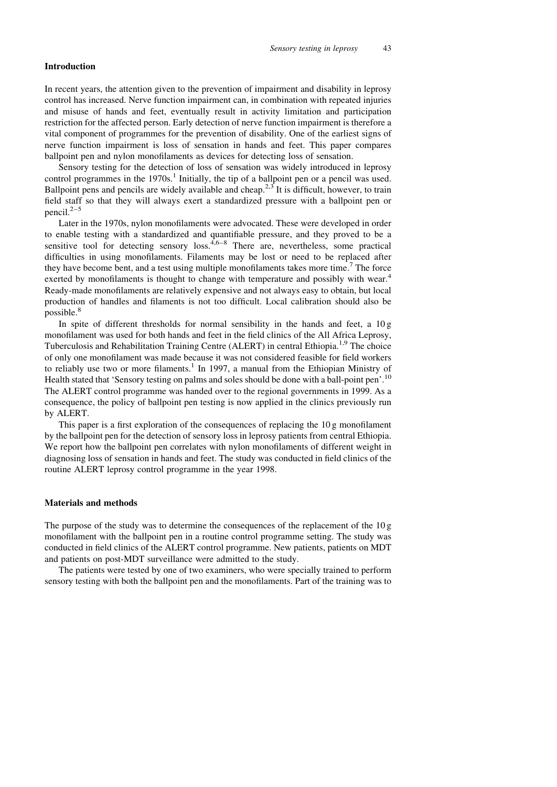# **Introduction**

In recent years, the attention given to the prevention of impairment and disability in leprosy control has increased. Nerve function impairment can, in combination with repeated injuries and misuse of hands and feet, eventually result in activity limitation and participation restriction for the affected person. Early detection of nerve function impairment is therefore a vital component of programmes for the prevention of disability. One of the earliest signs of nerve function impairment is loss of sensation in hands and feet. This paper compares ballpoint pen and nylon monofilaments as devices for detecting loss of sensation.

Sensory testing for the detection of loss of sensation was widely introduced in leprosy control programmes in the 1970s.<sup>1</sup> Initially, the tip of a ballpoint pen or a pencil was used. Ballpoint pens and pencils are widely available and cheap.<sup>2,3</sup> It is difficult, however, to train field staff so that they will always exert a standardized pressure with a ballpoint pen or pencil. $2-5$ 

Later in the 1970s, nylon monofilaments were advocated. These were developed in order to enable testing with a standardized and quantifiable pressure, and they proved to be a sensitive tool for detecting sensory loss.  $4.6-8$  There are, nevertheless, some practical difficulties in using monofilaments. Filaments may be lost or need to be replaced after they have become bent, and a test using multiple monofilaments takes more time.<sup>7</sup> The force exerted by monofilaments is thought to change with temperature and possibly with wear.<sup>4</sup> Ready-made monofilaments are relatively expensive and not always easy to obtain, but local production of handles and filaments is not too difficult. Local calibration should also be possible.<sup>8</sup>

In spite of different thresholds for normal sensibility in the hands and feet, a  $10g$ monofilament was used for both hands and feet in the field clinics of the All Africa Leprosy, Tuberculosis and Rehabilitation Training Centre (ALERT) in central Ethiopia.<sup>1,9</sup> The choice of only one monofilament was made because it was not considered feasible for field workers to reliably use two or more filaments.<sup>1</sup> In 1997, a manual from the Ethiopian Ministry of Health stated that 'Sensory testing on palms and soles should be done with a ball-point pen'.<sup>10</sup> The ALERT control programme was handed over to the regional governments in 1999. As a consequence, the policy of ballpoint pen testing is now applied in the clinics previously run by ALERT.

This paper is a first exploration of the consequences of replacing the  $10 g$  monofilament by the ballpoint pen for the detection of sensory loss in leprosy patients from central Ethiopia. We report how the ballpoint pen correlates with nylon monofilaments of different weight in diagnosing loss of sensation in hands and feet. The study was conducted in field clinics of the routine ALERT leprosy control programme in the year 1998.

### **Materials and methods**

The purpose of the study was to determine the consequences of the replacement of the  $10 g$ monofilament with the ballpoint pen in a routine control programme setting. The study was conducted in field clinics of the ALERT control programme. New patients, patients on MDT and patients on post-MDT surveillance were admitted to the study.

The patients were tested by one of two examiners, who were specially trained to perform sensory testing with both the ballpoint pen and the monofilaments. Part of the training was to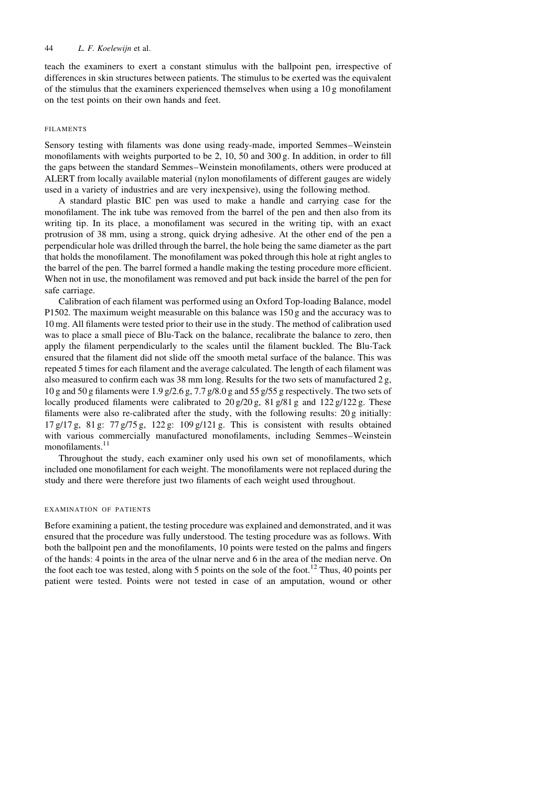teach the examiners to exert a constant stimulus with the ballpoint pen, irrespective of differences in skin structures between patients. The stimulus to be exerted was the equivalent of the stimulus that the examiners experienced themselves when using a  $10 g$  monofilament on the test points on their own hands and feet.

# **FILAMENTS**

Sensory testing with filaments was done using ready-made, imported Semmes-Weinstein monofilaments with weights purported to be 2, 10, 50 and 300 g. In addition, in order to fill the gaps between the standard Semmes-Weinstein monofilaments, others were produced at ALERT from locally available material (nylon monofilaments of different gauges are widely used in a variety of industries and are very inexpensive), using the following method.

A standard plastic BIC pen was used to make a handle and carrying case for the monofilament. The ink tube was removed from the barrel of the pen and then also from its writing tip. In its place, a monofilament was secured in the writing tip, with an exact protrusion of 38 mm, using a strong, quick drying adhesive. At the other end of the pen a perpendicular hole was drilled through the barrel, the hole being the same diameter as the part that holds the monofilament. The monofilament was poked through this hole at right angles to the barrel of the pen. The barrel formed a handle making the testing procedure more efficient. When not in use, the monofilament was removed and put back inside the barrel of the pen for safe carriage.

Calibration of each filament was performed using an Oxford Top-loading Balance, model P1502. The maximum weight measurable on this balance was  $150 g$  and the accuracy was to 10 mg. All filaments were tested prior to their use in the study. The method of calibration used was to place a small piece of Blu-Tack on the balance, recalibrate the balance to zero, then apply the filament perpendicularly to the scales until the filament buckled. The Blu-Tack ensured that the filament did not slide off the smooth metal surface of the balance. This was repeated 5 times for each filament and the average calculated. The length of each filament was also measured to confirm each was 38 mm long. Results for the two sets of manufactured 2 g, 10 g and 50 g filaments were 1.9 g/2.6 g, 7.7 g/8.0 g and 55 g/55 g respectively. The two sets of locally produced filaments were calibrated to  $20 g/20 g$ ,  $81 g/81 g$  and  $122 g/122 g$ . These filaments were also re-calibrated after the study, with the following results: 20 g initially:  $17 g/17 g$ ,  $81 g$ :  $77 g/75 g$ ,  $122 g$ :  $109 g/121 g$ . This is consistent with results obtained with various commercially manufactured monofilaments, including Semmes-Weinstein monofilaments.<sup>11</sup>

Throughout the study, each examiner only used his own set of monofilaments, which included one monofilament for each weight. The monofilaments were not replaced during the study and there were therefore just two filaments of each weight used throughout.

#### EXAMINATION OF PATIENTS

Before examining a patient, the testing procedure was explained and demonstrated, and it was ensured that the procedure was fully understood. The testing procedure was as follows. With both the ballpoint pen and the monofilaments, 10 points were tested on the palms and fingers of the hands: 4 points in the area of the ulnar nerve and 6 in the area of the median nerve. On the foot each toe was tested, along with 5 points on the sole of the foot.<sup>12</sup> Thus, 40 points per patient were tested. Points were not tested in case of an amputation, wound or other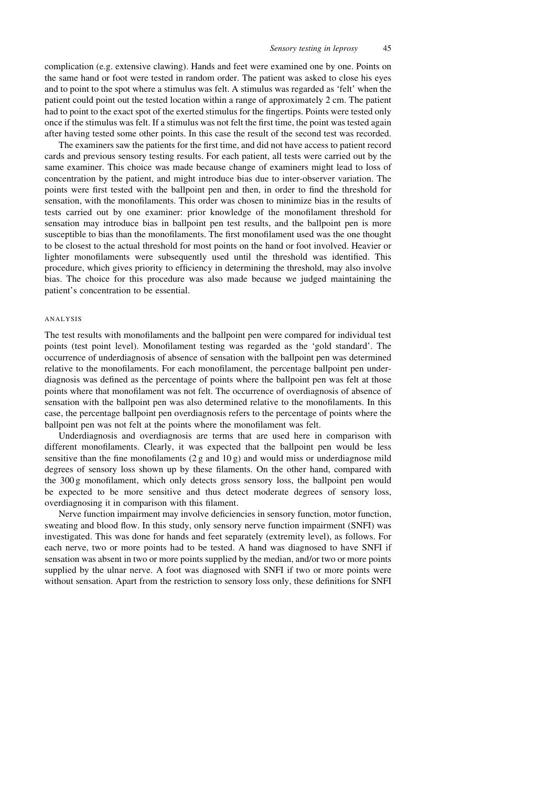complication (e.g. extensive clawing). Hands and feet were examined one by one. Points on the same hand or foot were tested in random order. The patient was asked to close his eyes and to point to the spot where a stimulus was felt. A stimulus was regarded as 'felt' when the patient could point out the tested location within a range of approximately 2 cm. The patient had to point to the exact spot of the exerted stimulus for the fingertips. Points were tested only once if the stimulus was felt. If a stimulus was not felt the first time, the point was tested again after having tested some other points. In this case the result of the second test was recorded.

The examiners saw the patients for the first time, and did not have access to patient record cards and previous sensory testing results. For each patient, all tests were carried out by the same examiner. This choice was made because change of examiners might lead to loss of concentration by the patient, and might introduce bias due to inter-observer variation. The points were first tested with the ballpoint pen and then, in order to find the threshold for sensation, with the monofilaments. This order was chosen to minimize bias in the results of tests carried out by one examiner: prior knowledge of the monofilament threshold for sensation may introduce bias in ballpoint pen test results, and the ballpoint pen is more susceptible to bias than the monofilaments. The first monofilament used was the one thought to be closest to the actual threshold for most points on the hand or foot involved. Heavier or lighter monofilaments were subsequently used until the threshold was identified. This procedure, which gives priority to efficiency in determining the threshold, may also involve bias. The choice for this procedure was also made because we judged maintaining the patient's concentration to be essential.

#### ANALYSIS

The test results with monofilaments and the ballpoint pen were compared for individual test points (test point level). Monofilament testing was regarded as the 'gold standard'. The occurrence of underdiagnosis of absence of sensation with the ballpoint pen was determined relative to the monofilaments. For each monofilament, the percentage ballpoint pen underdiagnosis was defined as the percentage of points where the ballpoint pen was felt at those points where that monofilament was not felt. The occurrence of overdiagnosis of absence of sensation with the ballpoint pen was also determined relative to the monofilaments. In this case, the percentage ballpoint pen overdiagnosis refers to the percentage of points where the ballpoint pen was not felt at the points where the monofilament was felt.

Underdiagnosis and overdiagnosis are terms that are used here in comparison with different monofilaments. Clearly, it was expected that the ballpoint pen would be less sensitive than the fine monofilaments  $(2g \text{ and } 10g)$  and would miss or underdiagnose mild degrees of sensory loss shown up by these filaments. On the other hand, compared with the 300 g monofilament, which only detects gross sensory loss, the ballpoint pen would be expected to be more sensitive and thus detect moderate degrees of sensory loss, overdiagnosing it in comparison with this filament.

Nerve function impairment may involve deficiencies in sensory function, motor function, sweating and blood flow. In this study, only sensory nerve function impairment (SNFI) was investigated. This was done for hands and feet separately (extremity level), as follows. For each nerve, two or more points had to be tested. A hand was diagnosed to have SNFI if sensation was absent in two or more points supplied by the median, and/or two or more points supplied by the ulnar nerve. A foot was diagnosed with SNFI if two or more points were without sensation. Apart from the restriction to sensory loss only, these definitions for SNFI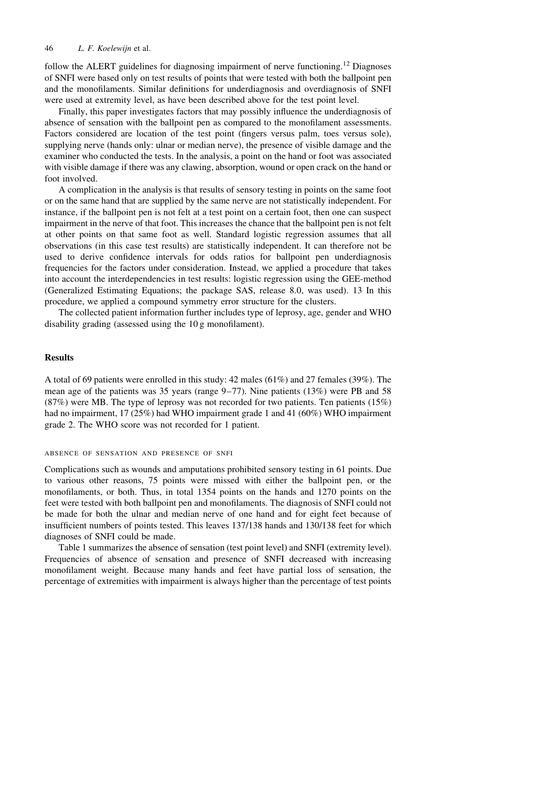follow the ALERT guidelines for diagnosing impairment of nerve functioning.<sup>12</sup> Diagnoses of SNFI were based only on test results of points that were tested with both the ballpoint pen and the monofilaments. Similar definitions for underdiagnosis and overdiagnosis of SNFI were used at extremity level, as have been described above for the test point level.

Finally, this paper investigates factors that may possibly influence the underdiagnosis of absence of sensation with the ballpoint pen as compared to the monofilament assessments. Factors considered are location of the test point (fingers versus palm, toes versus sole), supplying nerve (hands only: ulnar or median nerve), the presence of visible damage and the examiner who conducted the tests. In the analysis, a point on the hand or foot was associated with visible damage if there was any clawing, absorption, wound or open crack on the hand or foot involved.

A complication in the analysis is that results of sensory testing in points on the same foot or on the same hand that are supplied by the same nerve are not statistically independent. For instance, if the ballpoint pen is not felt at a test point on a certain foot, then one can suspect impairment in the nerve of that foot. This increases the chance that the ballpoint pen is not felt at other points on that same foot as well. Standard logistic regression assumes that all observations (in this case test results) are statistically independent. It can therefore not be used to derive confidence intervals for odds ratios for ballpoint pen underdiagnosis frequencies for the factors under consideration. Instead, we applied a procedure that takes into account the interdependencies in test results: logistic regression using the GEE-method (Generalized Estimating Equations; the package SAS, release 8.0, was used). 13 In this procedure, we applied a compound symmetry error structure for the clusters.

The collected patient information further includes type of leprosy, age, gender and WHO disability grading (assessed using the 10 g monofilament).

# **Results**

A total of 69 patients were enrolled in this study: 42 males (61%) and 27 females (39%). The mean age of the patients was 35 years (range  $9-77$ ). Nine patients (13%) were PB and 58  $(87%)$  were MB. The type of leprosy was not recorded for two patients. Ten patients  $(15%)$ had no impairment,  $17 (25%)$  had WHO impairment grade 1 and 41 (60%) WHO impairment grade 2. The WHO score was not recorded for 1 patient.

#### ABSENCE OF SENSATION AND PRESENCE OF SNFI

Complications such as wounds and amputations prohibited sensory testing in 61 points. Due to various other reasons, 75 points were missed with either the ballpoint pen, or the monofilaments, or both. Thus, in total 1354 points on the hands and 1270 points on the feet were tested with both ballpoint pen and monofilaments. The diagnosis of SNFI could not be made for both the ulnar and median nerve of one hand and for eight feet because of insufficient numbers of points tested. This leaves 137/138 hands and 130/138 feet for which diagnoses of SNFI could be made.

Table 1 summarizes the absence of sensation (test point level) and SNFI (extremity level). Frequencies of absence of sensation and presence of SNFI decreased with increasing monofilament weight. Because many hands and feet have partial loss of sensation, the percentage of extremities with impairment is always higher than the percentage of test points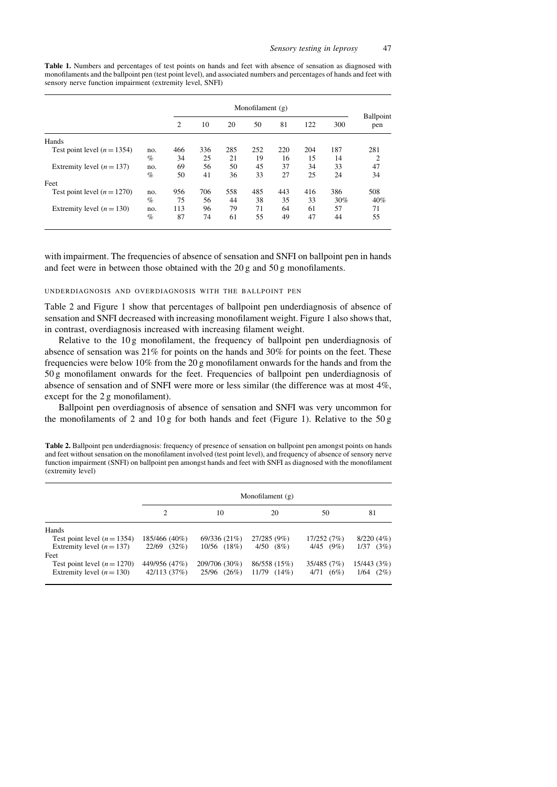Table 1. Numbers and percentages of test points on hands and feet with absence of sensation as diagnosed with monofilaments and the ballpoint pen (test point level), and associated numbers and percentages of hands and feet with sensory nerve function impairment (extremity level, SNFI)

|                               |      | Monofilament $(g)$ |     |     |     |     |     |     |                  |
|-------------------------------|------|--------------------|-----|-----|-----|-----|-----|-----|------------------|
|                               |      | 2                  | 10  | 20  | 50  | 81  | 122 | 300 | Ballpoint<br>pen |
| Hands                         |      |                    |     |     |     |     |     |     |                  |
| Test point level $(n = 1354)$ | no.  | 466                | 336 | 285 | 252 | 220 | 204 | 187 | 281              |
|                               | $\%$ | 34                 | 25  | 21  | 19  | 16  | 15  | 14  | 2                |
| Extremity level $(n = 137)$   | no.  | 69                 | 56  | 50  | 45  | 37  | 34  | 33  | 47               |
|                               | $\%$ | 50                 | 41  | 36  | 33  | 27  | 25  | 24  | 34               |
| Feet                          |      |                    |     |     |     |     |     |     |                  |
| Test point level $(n = 1270)$ | no.  | 956                | 706 | 558 | 485 | 443 | 416 | 386 | 508              |
|                               | $\%$ | 75                 | 56  | 44  | 38  | 35  | 33  | 30% | 40%              |
| Extremity level $(n = 130)$   | no.  | 113                | 96  | 79  | 71  | 64  | 61  | 57  | 71               |
|                               | $\%$ | 87                 | 74  | 61  | 55  | 49  | 47  | 44  | 55               |

with impairment. The frequencies of absence of sensation and SNFI on ballpoint pen in hands and feet were in between those obtained with the  $20 g$  and  $50 g$  monofilaments.

### UNDERDIAGNOSIS AND OVERDIAGNOSIS WITH THE BALLPOINT PEN

Table 2 and Figure 1 show that percentages of ballpoint pen underdiagnosis of absence of sensation and SNFI decreased with increasing monofilament weight. Figure 1 also shows that, in contrast, overdiagnosis increased with increasing filament weight.

Relative to the  $10g$  monofilament, the frequency of ballpoint pen underdiagnosis of absence of sensation was 21% for points on the hands and 30% for points on the feet. These frequencies were below 10% from the 20 g monofilament onwards for the hands and from the 50 g monofilament onwards for the feet. Frequencies of ballpoint pen underdiagnosis of absence of sensation and of SNFI were more or less similar (the difference was at most 4%, except for the 2 g monofilament).

Ballpoint pen overdiagnosis of absence of sensation and SNFI was very uncommon for the monofilaments of 2 and  $10 g$  for both hands and feet (Figure 1). Relative to the  $50 g$ 

Table 2. Ballpoint pen underdiagnosis: frequency of presence of sensation on ballpoint pen amongst points on hands and feet without sensation on the monofilament involved (test point level), and frequency of absence of sensory nerve function impairment (SNFI) on ballpoint pen amongst hands and feet with SNFI as diagnosed with the monofilament (extremity level)

|                               | Monofilament $(g)$ |                |                  |                |              |  |  |
|-------------------------------|--------------------|----------------|------------------|----------------|--------------|--|--|
|                               |                    | 10             | 20               | 50             | 81           |  |  |
| Hands                         |                    |                |                  |                |              |  |  |
| Test point level $(n = 1354)$ | 185/466 (40%)      | 69/336 (21%)   | 27/285 (9%)      | 17/252 (7%)    | 8/220(4%)    |  |  |
| Extremity level $(n = 137)$   | (32%)<br>22/69     | 10/56 (18%)    | 4/50<br>$(8\%)$  | $4/45$ $(9\%)$ | (3%)<br>1/37 |  |  |
| Feet                          |                    |                |                  |                |              |  |  |
| Test point level $(n = 1270)$ | 449/956 (47%)      | 209/706 (30%)  | 86/558 (15%)     | 35/485 (7%)    | 15/443 (3%)  |  |  |
| Extremity level $(n=130)$     | 42/113 (37%)       | (26%)<br>25/96 | $11/79$ $(14\%)$ | (6%)<br>4/71   | 1/64<br>(2%) |  |  |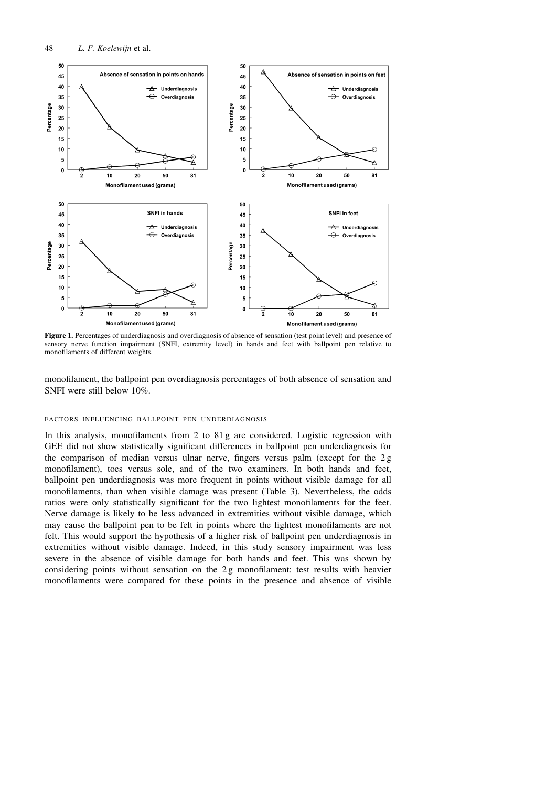

Figure 1. Percentages of underdiagnosis and overdiagnosis of absence of sensation (test point level) and presence of sensory nerve function impairment (SNFI, extremity level) in hands and feet with ballpoint pen relative to monofilaments of different weights.

monofilament, the ballpoint pen overdiagnosis percentages of both absence of sensation and SNFI were still below 10%.

### FACTORS INFLUENCING BALLPOINT PEN UNDERDIAGNOSIS

In this analysis, monofilaments from 2 to 81 g are considered. Logistic regression with GEE did not show statistically significant differences in ballpoint pen underdiagnosis for the comparison of median versus ulnar nerve, fingers versus palm (except for the 2g monofilament), toes versus sole, and of the two examiners. In both hands and feet, ballpoint pen underdiagnosis was more frequent in points without visible damage for all monofilaments, than when visible damage was present (Table 3). Nevertheless, the odds ratios were only statistically significant for the two lightest monofilaments for the feet. Nerve damage is likely to be less advanced in extremities without visible damage, which may cause the ballpoint pen to be felt in points where the lightest monofilaments are not felt. This would support the hypothesis of a higher risk of ballpoint pen underdiagnosis in extremities without visible damage. Indeed, in this study sensory impairment was less severe in the absence of visible damage for both hands and feet. This was shown by considering points without sensation on the 2g monofilament: test results with heavier monofilaments were compared for these points in the presence and absence of visible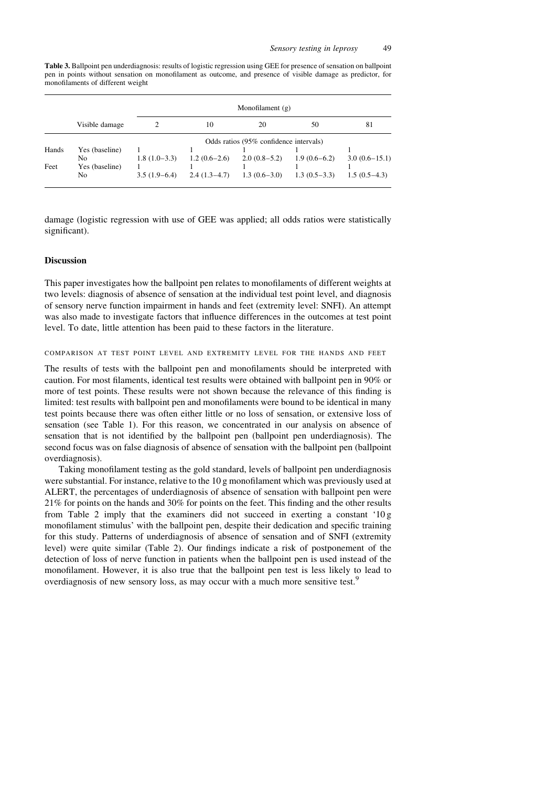Table 3. Ballpoint pen underdiagnosis: results of logistic regression using GEE for presence of sensation on ballpoint pen in points without sensation on monofilament as outcome, and presence of visible damage as predictor, for monofilaments of different weight

|       |                      |                                        | Monofilament $(g)$ |                |                |                 |  |  |  |
|-------|----------------------|----------------------------------------|--------------------|----------------|----------------|-----------------|--|--|--|
|       | Visible damage       |                                        | 10                 | 20             | 50             | 81              |  |  |  |
|       |                      | Odds ratios (95% confidence intervals) |                    |                |                |                 |  |  |  |
| Hands | Yes (baseline)<br>No | $1.8(1.0-3.3)$                         | $1.2(0.6-2.6)$     | $2.0(0.8-5.2)$ | $1.9(0.6-6.2)$ | $3.0(0.6-15.1)$ |  |  |  |
| Feet  | Yes (baseline)<br>No | $3.5(1.9-6.4)$                         | $2.4(1.3-4.7)$     | $1.3(0.6-3.0)$ | $1.3(0.5-3.3)$ | $1.5(0.5-4.3)$  |  |  |  |

damage (logistic regression with use of GEE was applied; all odds ratios were statistically significant).

# **Discussion**

This paper investigates how the ballpoint pen relates to monofilaments of different weights at two levels: diagnosis of absence of sensation at the individual test point level, and diagnosis of sensory nerve function impairment in hands and feet (extremity level: SNFI). An attempt was also made to investigate factors that influence differences in the outcomes at test point level. To date, little attention has been paid to these factors in the literature.

# COMPARISON AT TEST POINT LEVEL AND EXTREMITY LEVEL FOR THE HANDS AND FEET

The results of tests with the ballpoint pen and monofilaments should be interpreted with caution. For most filaments, identical test results were obtained with ballpoint pen in 90% or more of test points. These results were not shown because the relevance of this finding is limited: test results with ballpoint pen and monofilaments were bound to be identical in many test points because there was often either little or no loss of sensation, or extensive loss of sensation (see Table 1). For this reason, we concentrated in our analysis on absence of sensation that is not identified by the ballpoint pen (ballpoint pen underdiagnosis). The second focus was on false diagnosis of absence of sensation with the ballpoint pen (ballpoint overdiagnosis).

Taking monofilament testing as the gold standard, levels of ballpoint pen underdiagnosis were substantial. For instance, relative to the 10 g monofilament which was previously used at ALERT, the percentages of underdiagnosis of absence of sensation with ballpoint pen were 21% for points on the hands and 30% for points on the feet. This finding and the other results from Table 2 imply that the examiners did not succeed in exerting a constant '10g monofilament stimulus' with the ballpoint pen, despite their dedication and specific training for this study. Patterns of underdiagnosis of absence of sensation and of SNFI (extremity level) were quite similar (Table 2). Our findings indicate a risk of postponement of the detection of loss of nerve function in patients when the ballpoint pen is used instead of the monofilament. However, it is also true that the ballpoint pen test is less likely to lead to overdiagnosis of new sensory loss, as may occur with a much more sensitive test.<sup>9</sup>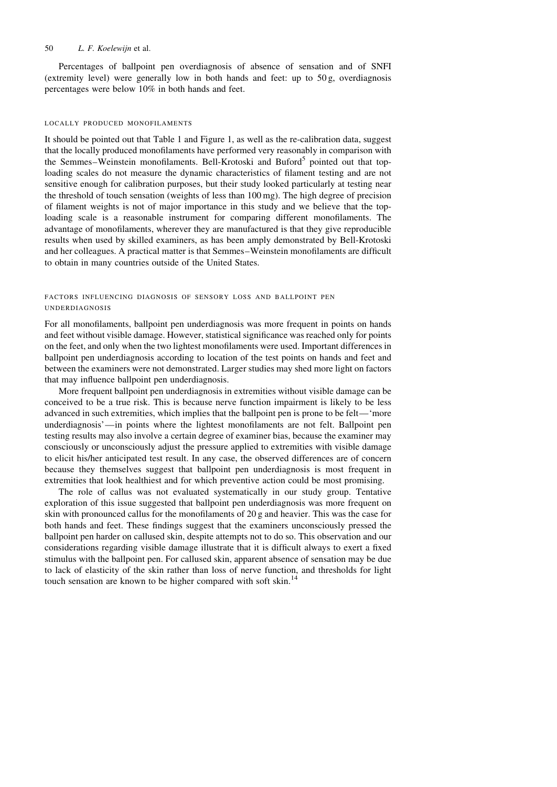Percentages of ballpoint pen overdiagnosis of absence of sensation and of SNFI (extremity level) were generally low in both hands and feet: up to  $50 g$ , overdiagnosis percentages were below 10% in both hands and feet.

#### LOCALLY PRODUCED MONOFILAMENTS

It should be pointed out that Table 1 and Figure 1, as well as the re-calibration data, suggest that the locally produced monofilaments have performed very reasonably in comparison with the Semmes–Weinstein monofilaments. Bell-Krotoski and Buford<sup>5</sup> pointed out that toploading scales do not measure the dynamic characteristics of filament testing and are not sensitive enough for calibration purposes, but their study looked particularly at testing near the threshold of touch sensation (weights of less than 100 mg). The high degree of precision of filament weights is not of major importance in this study and we believe that the toploading scale is a reasonable instrument for comparing different monofilaments. The advantage of monofilaments, wherever they are manufactured is that they give reproducible results when used by skilled examiners, as has been amply demonstrated by Bell-Krotoski and her colleagues. A practical matter is that Semmes-Weinstein monofilaments are difficult to obtain in many countries outside of the United States.

# FACTORS INFLUENCING DIAGNOSIS OF SENSORY LOSS AND BALLPOINT PEN **UNDERDIAGNOSIS**

For all monofilaments, ballpoint pen underdiagnosis was more frequent in points on hands and feet without visible damage. However, statistical significance was reached only for points on the feet, and only when the two lightest monofilaments were used. Important differences in ballpoint pen underdiagnosis according to location of the test points on hands and feet and between the examiners were not demonstrated. Larger studies may shed more light on factors that may influence ballpoint pen underdiagnosis.

More frequent ballpoint pen underdiagnosis in extremities without visible damage can be conceived to be a true risk. This is because nerve function impairment is likely to be less advanced in such extremities, which implies that the ballpoint pen is prone to be felt— 'more underdiagnosis'—in points where the lightest monofilaments are not felt. Ballpoint pen testing results may also involve a certain degree of examiner bias, because the examiner may consciously or unconsciously adjust the pressure applied to extremities with visible damage to elicit his/her anticipated test result. In any case, the observed differences are of concern because they themselves suggest that ballpoint pen underdiagnosis is most frequent in extremities that look healthiest and for which preventive action could be most promising.

The role of callus was not evaluated systematically in our study group. Tentative exploration of this issue suggested that ballpoint pen underdiagnosis was more frequent on skin with pronounced callus for the monofilaments of 20 g and heavier. This was the case for both hands and feet. These findings suggest that the examiners unconsciously pressed the ballpoint pen harder on callused skin, despite attempts not to do so. This observation and our considerations regarding visible damage illustrate that it is difficult always to exert a fixed stimulus with the ballpoint pen. For callused skin, apparent absence of sensation may be due to lack of elasticity of the skin rather than loss of nerve function, and thresholds for light touch sensation are known to be higher compared with soft skin.<sup>14</sup>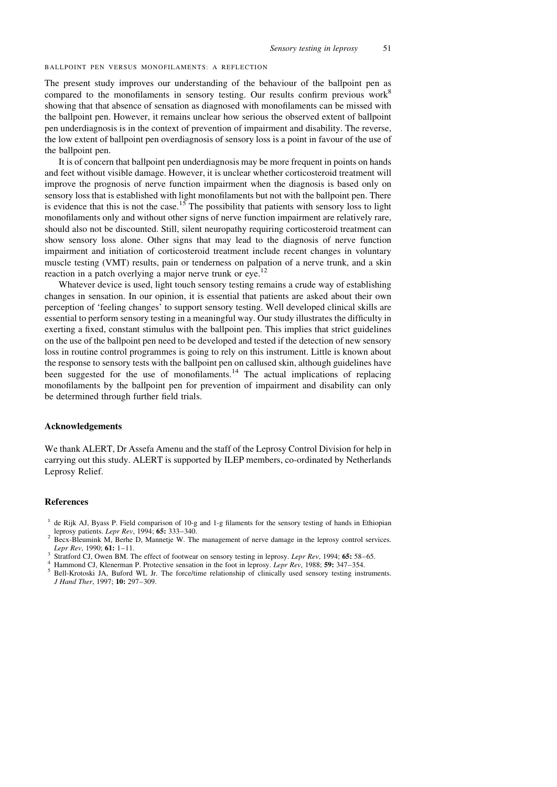#### BALLPOINT PEN VERSUS MONOFILAMENTS: A REFLECTION

The present study improves our understanding of the behaviour of the ballpoint pen as compared to the monofilaments in sensory testing. Our results confirm previous work<sup>8</sup> showing that that absence of sensation as diagnosed with monofilaments can be missed with the ballpoint pen. However, it remains unclear how serious the observed extent of ballpoint pen underdiagnosis is in the context of prevention of impairment and disability. The reverse, the low extent of ballpoint pen overdiagnosis of sensory loss is a point in favour of the use of the ballpoint pen.

It is of concern that ballpoint pen underdiagnosis may be more frequent in points on hands and feet without visible damage. However, it is unclear whether corticosteroid treatment will improve the prognosis of nerve function impairment when the diagnosis is based only on sensory loss that is established with light monofilaments but not with the ballpoint pen. There is evidence that this is not the case.<sup>15</sup> The possibility that patients with sensory loss to light monofilaments only and without other signs of nerve function impairment are relatively rare, should also not be discounted. Still, silent neuropathy requiring corticosteroid treatment can show sensory loss alone. Other signs that may lead to the diagnosis of nerve function impairment and initiation of corticosteroid treatment include recent changes in voluntary muscle testing (VMT) results, pain or tenderness on palpation of a nerve trunk, and a skin reaction in a patch overlying a major nerve trunk or eye.<sup>12</sup>

Whatever device is used, light touch sensory testing remains a crude way of establishing changes in sensation. In our opinion, it is essential that patients are asked about their own perception of 'feeling changes' to support sensory testing. Well developed clinical skills are essential to perform sensory testing in a meaningful way. Our study illustrates the difficulty in exerting a fixed, constant stimulus with the ballpoint pen. This implies that strict guidelines on the use of the ballpoint pen need to be developed and tested if the detection of new sensory loss in routine control programmes is going to rely on this instrument. Little is known about the response to sensory tests with the ballpoint pen on callused skin, although guidelines have been suggested for the use of monofilaments.<sup>14</sup> The actual implications of replacing monofilaments by the ballpoint pen for prevention of impairment and disability can only be determined through further field trials.

### Acknowledgements

We thank ALERT, Dr Assefa Amenu and the staff of the Leprosy Control Division for help in carrying out this study. ALERT is supported by ILEP members, co-ordinated by Netherlands Leprosy Relief.

### **References**

- <sup>2</sup> Becx-Bleumink M, Berhe D, Mannetje W. The management of nerve damage in the leprosy control services. Lepr Rev. 1990: 61: 1-11.
- Stratford CJ, Owen BM. The effect of footwear on sensory testing in leprosy. Lepr Rev, 1994; 65: 58–65.
- $\overline{4}$ Hammond CJ, Klenerman P. Protective sensation in the foot in leprosy. Lepr Rev, 1988; 59: 347-354.
- $\sqrt{5}$ Bell-Krotoski JA, Buford WL Jr. The force/time relationship of clinically used sensory testing instruments. J Hand Ther, 1997; 10: 297-309.

<sup>&</sup>lt;sup>1</sup> de Rijk AJ, Byass P. Field comparison of 10-g and 1-g filaments for the sensory testing of hands in Ethiopian leprosy patients. Lepr Rev, 1994; 65: 333-340.